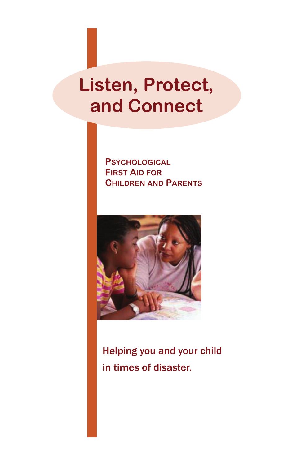## **Listen, Protect, and Connect**

**PSYCHOLOGICAL FIRST AID FOR CHILDREN AND PARENTS**



Helping you and your child in times of disaster.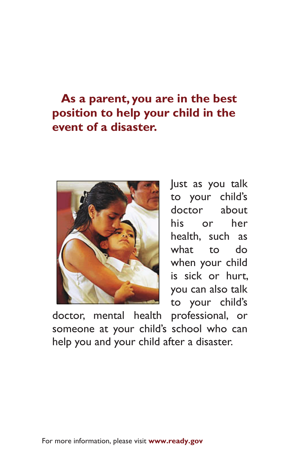#### **As a parent, you are in the best position to help your child in the event of a disaster.**



Just as you talk to your child's doctor about his or her health, such as what to do when your child is sick or hurt, you can also talk to your child's

doctor, mental health professional, or someone at your child's school who can help you and your child after a disaster.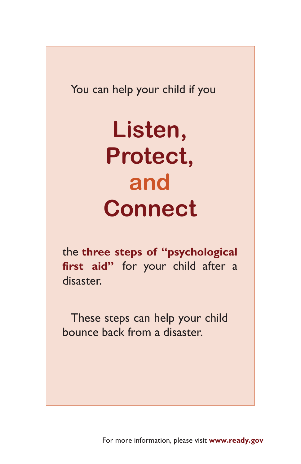$\frac{1}{2}$ lo vour child  $\frac{3}{2}$ You can help your child if you

# $\Box$ **Listen, Protect, and Connect**

the **three steps of "psychological**  first aid" for your child after a disaster.

 These steps can help your child bounce back from a disaster.

For more information, please visit **www.ready.gov**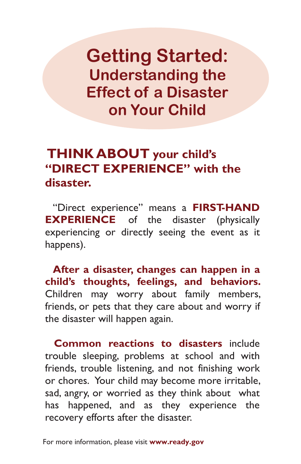**Getting Started: Understanding the Effect of a Disaster on Your Child** 

#### **THINK ABOUT your child's "DIRECT EXPERIENCE" with the disaster.**

 "Direct experience" means a **FIRST-HAND EXPERIENCE** of the disaster (physically experiencing or directly seeing the event as it happens).

 **After a disaster, changes can happen in a child's thoughts, feelings, and behaviors.**  Children may worry about family members, friends, or pets that they care about and worry if the disaster will happen again.

**Common reactions to disasters** include trouble sleeping, problems at school and with friends, trouble listening, and not finishing work or chores. Your child may become more irritable, sad, angry, or worried as they think about what has happened, and as they experience the recovery efforts after the disaster.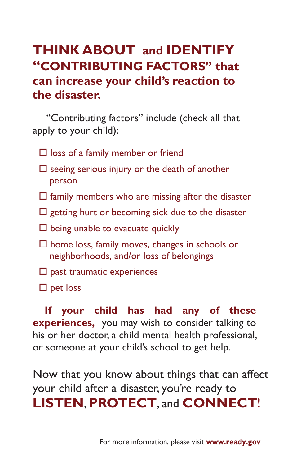#### **THINK ABOUT and IDENTIFY "CONTRIBUTING FACTORS" that can increase your child's reaction to the disaster.**

"Contributing factors" include (check all that apply to your child):

- $\square$  loss of a family member or friend
- $\square$  seeing serious injury or the death of another person
- $\square$  family members who are missing after the disaster
- $\Box$  getting hurt or becoming sick due to the disaster
- $\square$  being unable to evacuate quickly
- $\square$  home loss, family moves, changes in schools or neighborhoods, and/or loss of belongings
- $\square$  past traumatic experiences
- $\square$  pet loss

**If your child has had any of these experiences,** you may wish to consider talking to his or her doctor, a child mental health professional, or someone at your child's school to get help.

Now that you know about things that can affect your child after a disaster, you're ready to **LISTEN**,**PROTECT**, and **CONNECT**!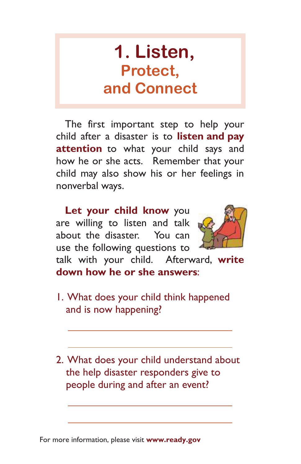## **1. Listen, Protect, and Connect**

The first important step to help your child after a disaster is to **listen and pay attention** to what your child says and how he or she acts. Remember that your child may also show his or her feelings in nonverbal ways.

 **Let your child know** you are willing to listen and talk about the disaster. You can use the following questions to

 $\overline{a}$ 

 $\overline{a}$ 

 $\overline{a}$ 

 $\overline{a}$ 



talk with your child. Afterward, **write down how he or she answers**:

- 1. What does your child think happened and is now happening?
- 2. What does your child understand about the help disaster responders give to people during and after an event?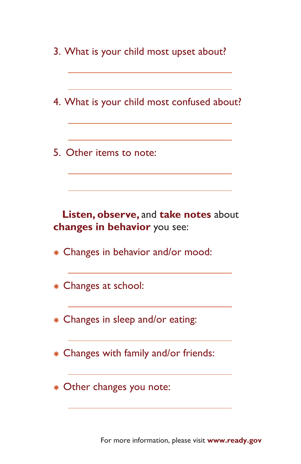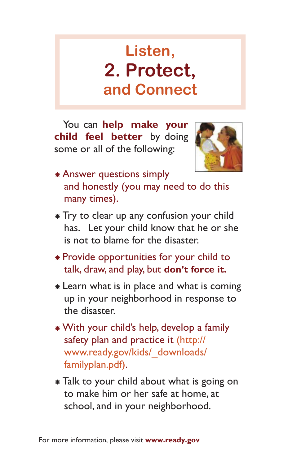## **Listen, 2. Protect, and Connect**

You can **help make your child feel better** by doing some or all of the following:



- <sup>Å</sup> Answer questions simply and honestly (you may need to do this many times).
- <sup>Å</sup> Try to clear up any confusion your child has. Let your child know that he or she is not to blame for the disaster.
- <sup>Å</sup> Provide opportunities for your child to talk, draw, and play, but **don't force it.**
- <sup>Å</sup> Learn what is in place and what is coming up in your neighborhood in response to the disaster.
- <sup>Å</sup> With your child's help, develop a family safety plan and practice it (http:// www.ready.gov/kids/\_downloads/ familyplan.pdf).
- <sup>Å</sup> Talk to your child about what is going on to make him or her safe at home, at school, and in your neighborhood.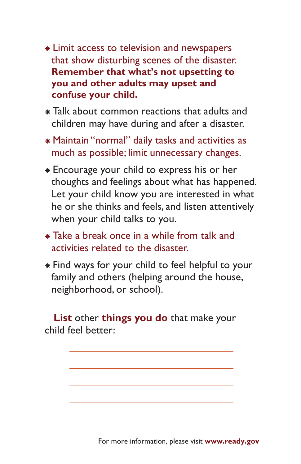- <sup>Å</sup> Limit access to television and newspapers that show disturbing scenes of the disaster. **Remember that what's not upsetting to you and other adults may upset and confuse your child.**
- <sup>Å</sup> Talk about common reactions that adults and children may have during and after a disaster.
- <sup>Å</sup> Maintain "normal" daily tasks and activities as much as possible; limit unnecessary changes.
- <sup>Å</sup> Encourage your child to express his or her thoughts and feelings about what has happened. Let your child know you are interested in what he or she thinks and feels, and listen attentively when your child talks to you.
- <sup>Å</sup> Take a break once in a while from talk and activities related to the disaster.
- <sup>Å</sup> Find ways for your child to feel helpful to your family and others (helping around the house, neighborhood, or school).

 **List** other **things you do** that make your child feel better:

 $\overline{a}$ 

 $\overline{a}$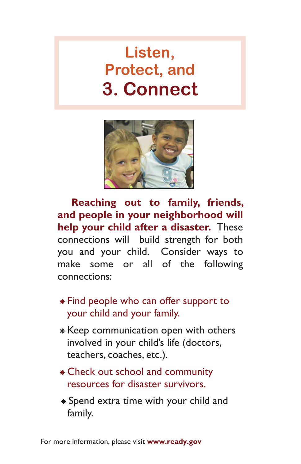## **Listen, Protect, and 3. Connect**



 **Reaching out to family, friends, and people in your neighborhood will help your child after a disaster.** These connections will build strength for both you and your child. Consider ways to make some or all of the following connections:

- <sup>Å</sup> Find people who can offer support to your child and your family.
- <sup>Å</sup> Keep communication open with others involved in your child's life (doctors, teachers, coaches, etc.).
- <sup>Å</sup> Check out school and community resources for disaster survivors.
- <sup>Å</sup> Spend extra time with your child and family.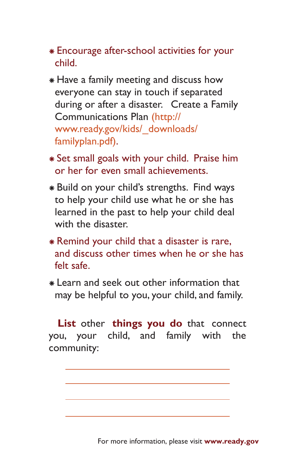- <sup>Å</sup> Encourage after-school activities for your child.
- <sup>Å</sup> Have a family meeting and discuss how everyone can stay in touch if separated during or after a disaster. Create a Family Communications Plan (http:// www.ready.gov/kids/\_downloads/ familyplan.pdf).
- <sup>Å</sup> Set small goals with your child. Praise him or her for even small achievements.
- <sup>Å</sup> Build on your child's strengths. Find ways to help your child use what he or she has learned in the past to help your child deal with the disaster.
- <sup>Å</sup> Remind your child that a disaster is rare, and discuss other times when he or she has felt safe.
- <sup>Å</sup> Learn and seek out other information that may be helpful to you, your child, and family.

**List** other **things you do** that connect you, your child, and family with the community:

 $\overline{a}$  $\overline{a}$ 

 $\overline{a}$ 

 $\overline{a}$ 

For more information, please visit **www.ready.gov**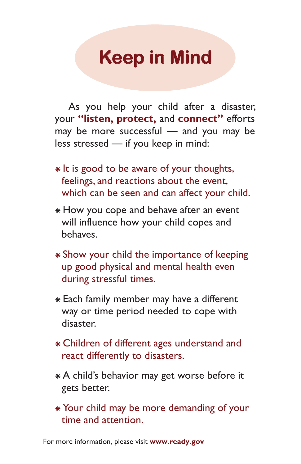# **Keep in Mind**

 As you help your child after a disaster, your **"listen, protect,** and **connect"** efforts may be more successful — and you may be less stressed — if you keep in mind:

- <sup>Å</sup> It is good to be aware of your thoughts, feelings, and reactions about the event, which can be seen and can affect your child.
- <sup>Å</sup> How you cope and behave after an event will influence how your child copes and behaves.
- <sup>Å</sup> Show your child the importance of keeping up good physical and mental health even during stressful times.
- \* Each family member may have a different way or time period needed to cope with disaster.
- <sup>Å</sup> Children of different ages understand and react differently to disasters.
- <sup>Å</sup> A child's behavior may get worse before it gets better.
- <sup>Å</sup> Your child may be more demanding of your time and attention.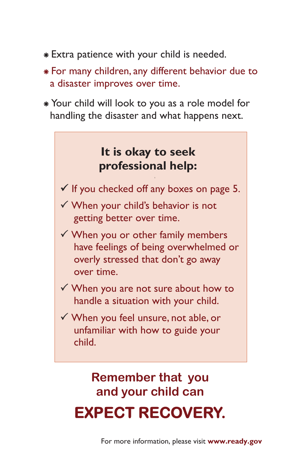- <sup>Å</sup> Extra patience with your child is needed.
- <sup>Å</sup> For many children, any different behavior due to a disaster improves over time.
- <sup>Å</sup> Your child will look to you as a role model for handling the disaster and what happens next.



### **Remember that you and your child can EXPECT RECOVERY.**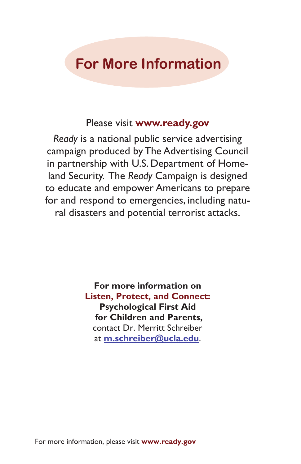#### **For More Information**

#### Please visit **www.ready.gov**

*Ready* is a national public service advertising campaign produced by The Advertising Council in partnership with U.S. Department of Homeland Security. The *Ready* Campaign is designed to educate and empower Americans to prepare for and respond to emergencies, including natural disasters and potential terrorist attacks.

> **For more information on Listen, Protect, and Connect: Psychological First Aid for Children and Parents,**  contact Dr. Merritt Schreiber at **m.schreiber@ucla.edu**.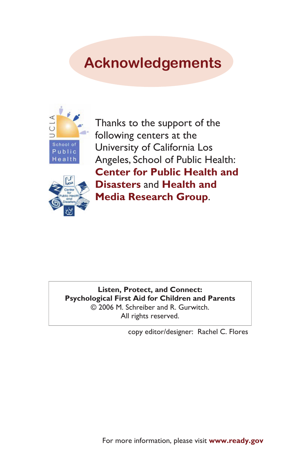### **Acknowledgements**



Thanks to the support of the following centers at the University of California Los Angeles, School of Public Health: **Center for Public Health and Disasters** and **Health and Media Research Group**.



**Listen, Protect, and Connect: Psychological First Aid for Children and Parents** © 2006 M. Schreiber and R. Gurwitch. All rights reserved.

copy editor/designer: Rachel C. Flores